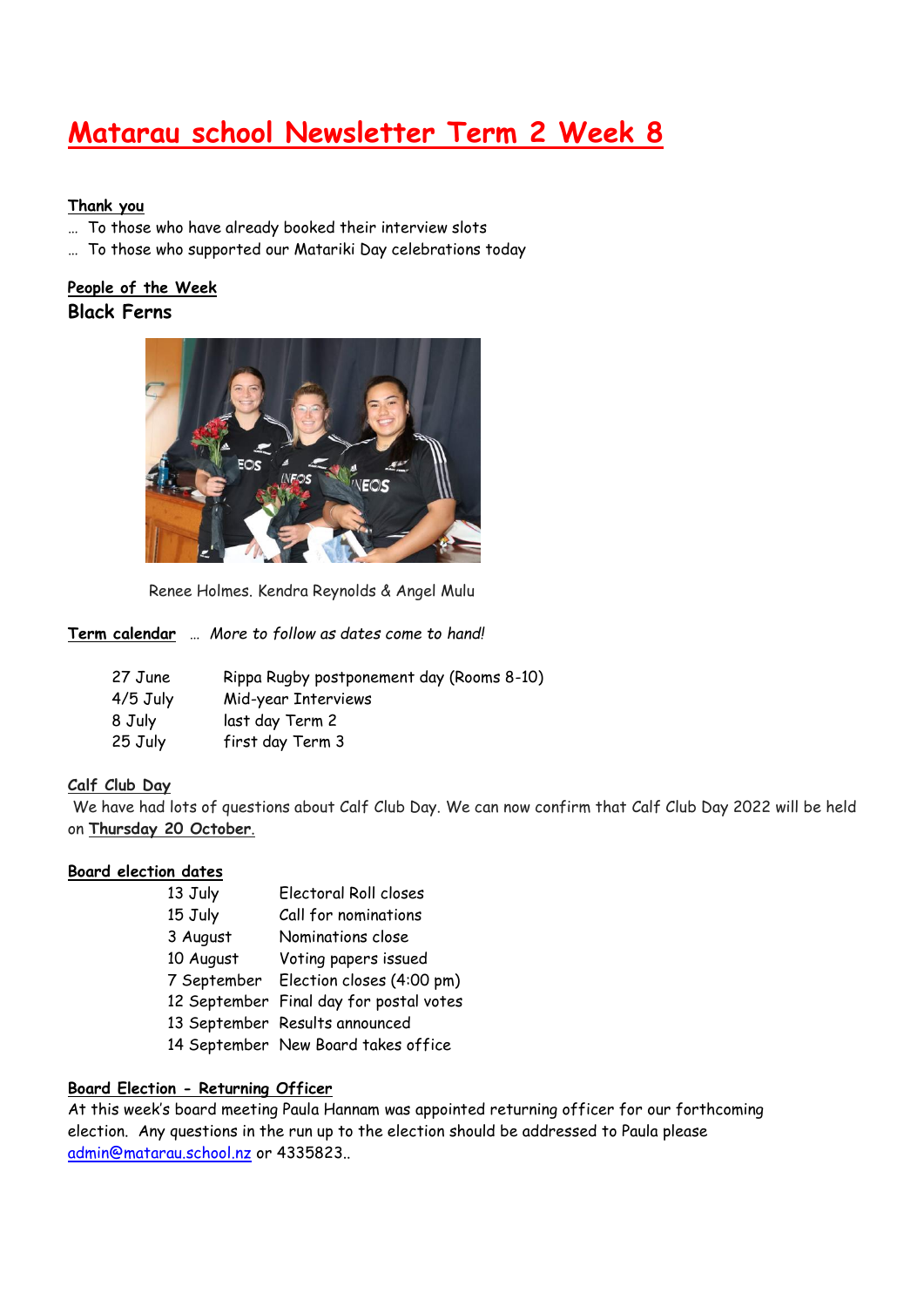# **Matarau school Newsletter Term 2 Week 8**

#### **Thank you**

- … To those who have already booked their interview slots
- … To those who supported our Matariki Day celebrations today

### **People of the Week Black Ferns**



Renee Holmes. Kendra Reynolds & Angel Mulu

**Term calendar** … *More to follow as dates come to hand!*

| 27 June    | Rippa Rugby postponement day (Rooms 8-10) |
|------------|-------------------------------------------|
| $4/5$ July | Mid-year Interviews                       |
| 8 July     | last day Term 2                           |
| 25 July    | first day Term 3                          |

#### **Calf Club Day**

We have had lots of questions about Calf Club Day. We can now confirm that Calf Club Day 2022 will be held on **Thursday 20 October**.

#### **Board election dates**

13 July Electoral Roll closes 15 July Call for nominations 3 August Nominations close 10 August Voting papers issued 7 September Election closes (4:00 pm) 12 September Final day for postal votes 13 September Results announced 14 September New Board takes office

#### **Board Election - Returning Officer**

At this week's board meeting Paula Hannam was appointed returning officer for our forthcoming election. Any questions in the run up to the election should be addressed to Paula please [admin@matarau.school.nz](mailto:admin@matarau.school.nz) or 4335823..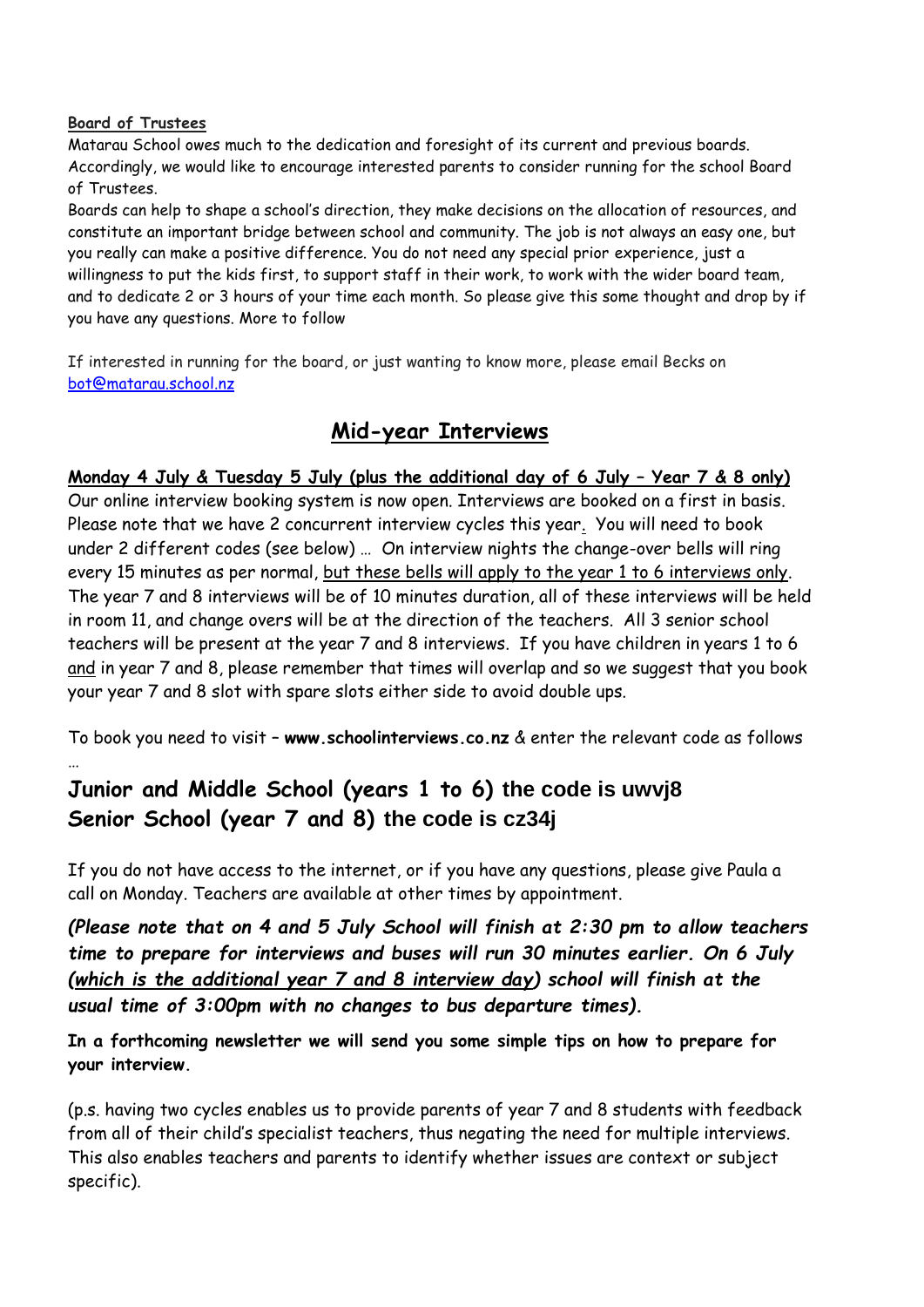#### **Board of Trustees**

Matarau School owes much to the dedication and foresight of its current and previous boards. Accordingly, we would like to encourage interested parents to consider running for the school Board of Trustees.

Boards can help to shape a school's direction, they make decisions on the allocation of resources, and constitute an important bridge between school and community. The job is not always an easy one, but you really can make a positive difference. You do not need any special prior experience, just a willingness to put the kids first, to support staff in their work, to work with the wider board team, and to dedicate 2 or 3 hours of your time each month. So please give this some thought and drop by if you have any questions. More to follow

If interested in running for the board, or just wanting to know more, please email Becks on [bot@matarau.school.nz](mailto:bot@matarau.school.nz)

## **Mid-year Interviews**

## **Monday 4 July & Tuesday 5 July (plus the additional day of 6 July – Year 7 & 8 only)**

Our online interview booking system is now open. Interviews are booked on a first in basis. Please note that we have 2 concurrent interview cycles this year. You will need to book under 2 different codes (see below) … On interview nights the change-over bells will ring every 15 minutes as per normal, but these bells will apply to the year 1 to 6 interviews only. The year 7 and 8 interviews will be of 10 minutes duration, all of these interviews will be held in room 11, and change overs will be at the direction of the teachers. All 3 senior school teachers will be present at the year 7 and 8 interviews. If you have children in years 1 to 6 and in year 7 and 8, please remember that times will overlap and so we suggest that you book your year 7 and 8 slot with spare slots either side to avoid double ups.

To book you need to visit – **[www.schoolinterviews.co.nz](http://www.schoolinterviews.co.nz/)** & enter the relevant code as follows …

# **Junior and Middle School (years 1 to 6) the code is uwvj8 Senior School (year 7 and 8) the code is cz34j**

If you do not have access to the internet, or if you have any questions, please give Paula a call on Monday. Teachers are available at other times by appointment.

*(Please note that on 4 and 5 July School will finish at 2:30 pm to allow teachers time to prepare for interviews and buses will run 30 minutes earlier. On 6 July (which is the additional year 7 and 8 interview day) school will finish at the usual time of 3:00pm with no changes to bus departure times).* 

## **In a forthcoming newsletter we will send you some simple tips on how to prepare for your interview.**

(p.s. having two cycles enables us to provide parents of year 7 and 8 students with feedback from all of their child's specialist teachers, thus negating the need for multiple interviews. This also enables teachers and parents to identify whether issues are context or subject specific).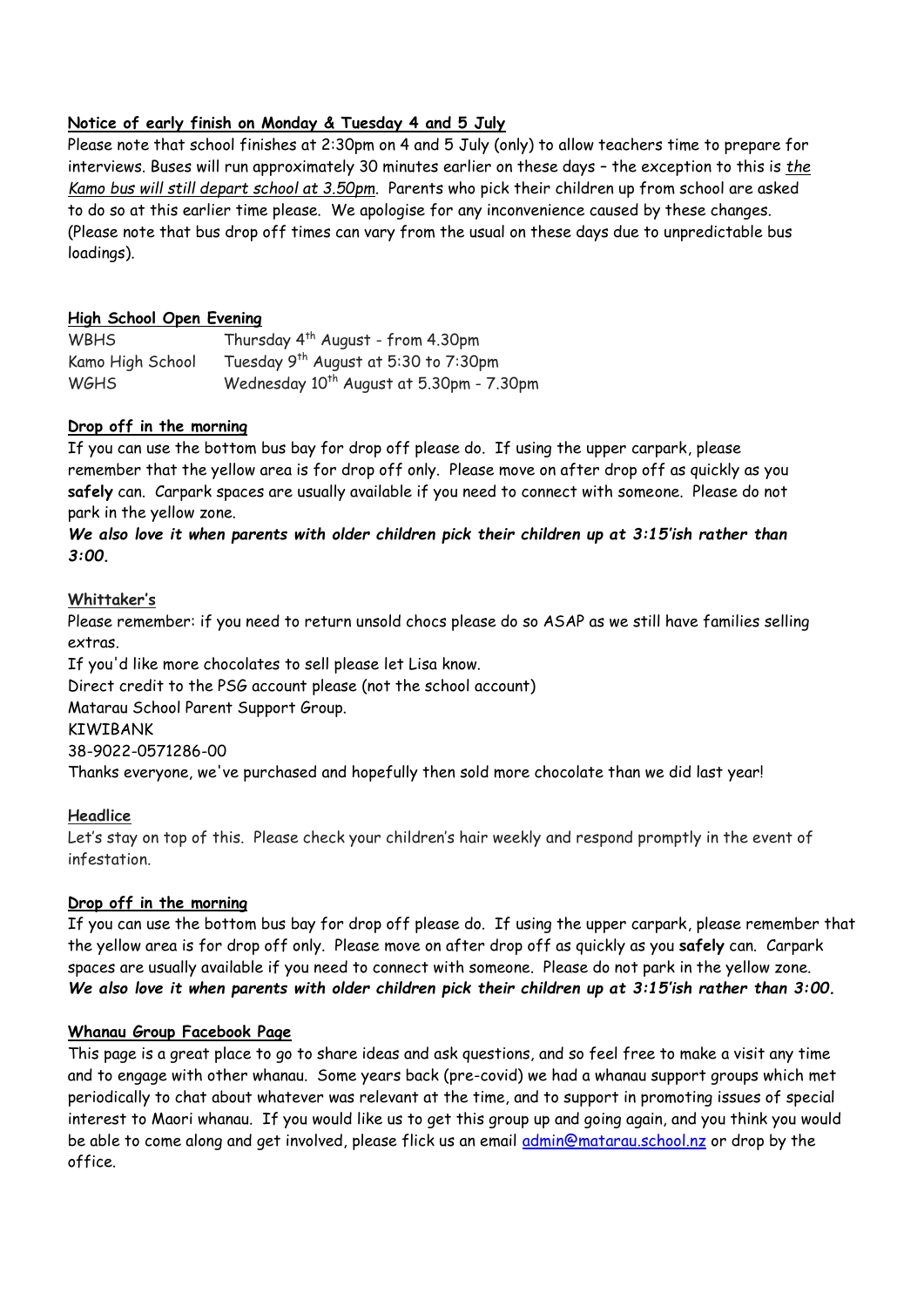#### **Notice of early finish on Monday & Tuesday 4 and 5 July**

Please note that school finishes at 2:30pm on 4 and 5 July (only) to allow teachers time to prepare for interviews. Buses will run approximately 30 minutes earlier on these days – the exception to this is *the Kamo bus will still depart school at 3.50pm*. Parents who pick their children up from school are asked to do so at this earlier time please. We apologise for any inconvenience caused by these changes. (Please note that bus drop off times can vary from the usual on these days due to unpredictable bus loadings).

#### **High School Open Evening**

| <b>WBHS</b>      | Thursday 4 <sup>th</sup> August - from 4.30pm        |
|------------------|------------------------------------------------------|
| Kamo High School | Tuesday 9 <sup>th</sup> August at 5:30 to 7:30pm     |
| <b>WGHS</b>      | Wednesday 10 <sup>th</sup> August at 5.30pm - 7.30pm |

#### **Drop off in the morning**

If you can use the bottom bus bay for drop off please do. If using the upper carpark, please remember that the yellow area is for drop off only. Please move on after drop off as quickly as you **safely** can. Carpark spaces are usually available if you need to connect with someone. Please do not park in the yellow zone.

*We also love it when parents with older children pick their children up at 3:15'ish rather than 3:00.*

#### **Whittaker's**

Please remember: if you need to return unsold chocs please do so ASAP as we still have families selling extras.

If you'd like more chocolates to sell please let Lisa know. Direct credit to the PSG account please (not the school account) Matarau School Parent Support Group. **KTWTRANK** 38-9022-0571286-00 Thanks everyone, we've purchased and hopefully then sold more chocolate than we did last year!

#### **Headlice**

Let's stay on top of this. Please check your children's hair weekly and respond promptly in the event of infestation.

#### **Drop off in the morning**

If you can use the bottom bus bay for drop off please do. If using the upper carpark, please remember that the yellow area is for drop off only. Please move on after drop off as quickly as you **safely** can. Carpark spaces are usually available if you need to connect with someone. Please do not park in the yellow zone. *We also love it when parents with older children pick their children up at 3:15'ish rather than 3:00.*

#### **Whanau Group Facebook Page**

This page is a great place to go to share ideas and ask questions, and so feel free to make a visit any time and to engage with other whanau. Some years back (pre-covid) we had a whanau support groups which met periodically to chat about whatever was relevant at the time, and to support in promoting issues of special interest to Maori whanau. If you would like us to get this group up and going again, and you think you would be able to come along and get involved, please flick us an email [admin@matarau.school.nz](mailto:admin@matarau.school.nz) or drop by the office.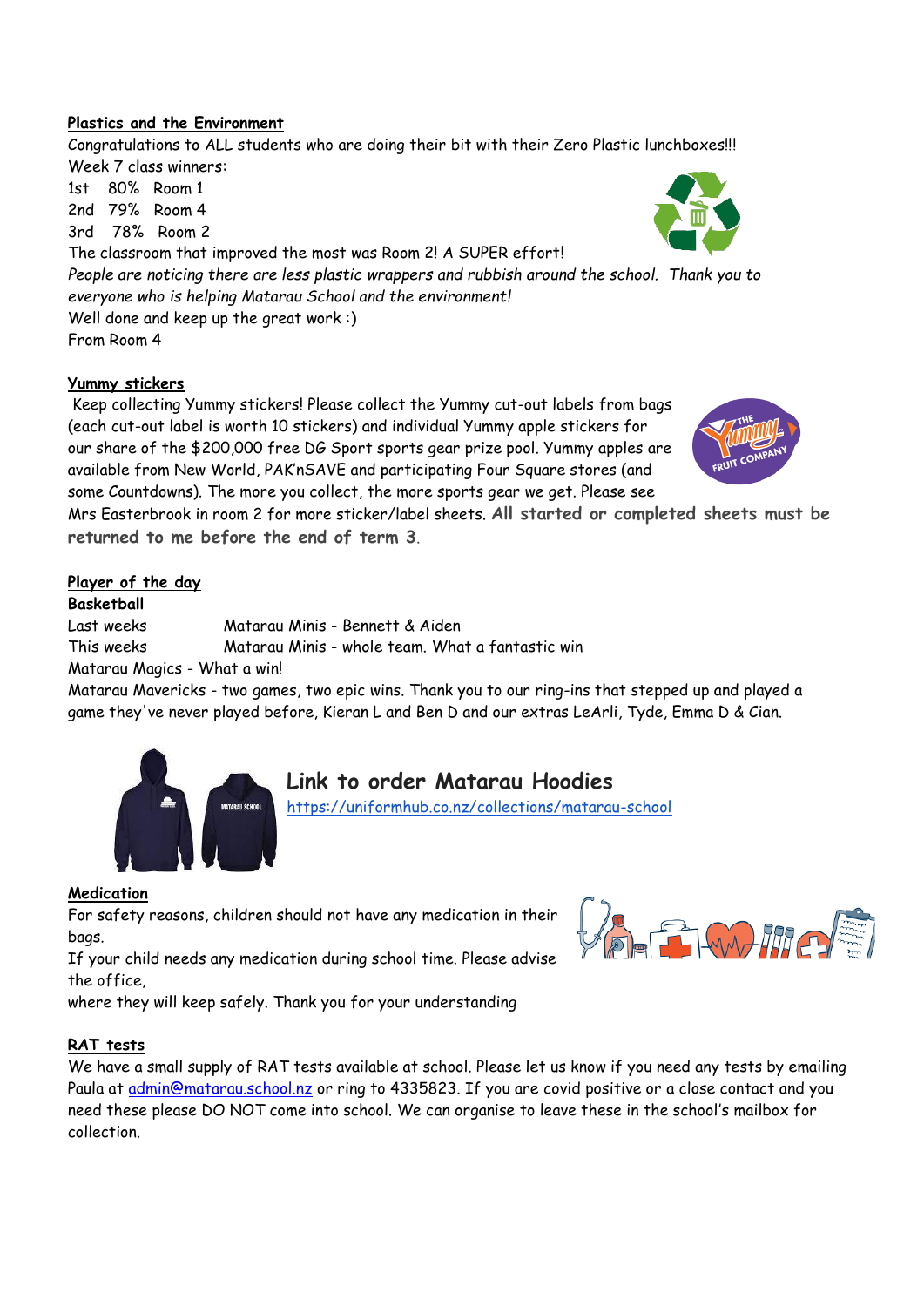#### **Plastics and the Environment**

Congratulations to ALL students who are doing their bit with their Zero Plastic lunchboxes!!! Week 7 class winners:

1st 80% Room 1 2nd 79% Room 4 3rd 78% Room 2

The classroom that improved the most was Room 2! A SUPER effort! *People are noticing there are less plastic wrappers and rubbish around the school. Thank you to everyone who is helping Matarau School and the environment!* Well done and keep up the great work :) From Room 4

#### **Yummy stickers**

Keep collecting Yummy stickers! Please collect the Yummy cut-out labels from bags (each cut-out label is worth 10 stickers) and individual Yummy apple stickers for our share of the \$200,000 free DG Sport sports gear prize pool. Yummy apples are available from New World, PAK'nSAVE and participating Four Square stores (and some Countdowns). The more you collect, the more sports gear we get. Please see

Mrs Easterbrook in room 2 for more sticker/label sheets. **All started or completed sheets must be returned to me before the end of term 3**.

#### **Player of the day**

**Basketball** 

Last weeks Matarau Minis - Bennett & Aiden

This weeks Matarau Minis - whole team. What a fantastic win

Matarau Magics - What a win!

Matarau Mavericks - two games, two epic wins. Thank you to our ring-ins that stepped up and played a game they've never played before, Kieran L and Ben D and our extras LeArli, Tyde, Emma D & Cian.

**Link to order Matarau Hoodies**

<https://uniformhub.co.nz/collections/matarau-school>



For safety reasons, children should not have any medication in their bags.

If your child needs any medication during school time. Please advise the office,

where they will keep safely. Thank you for your understanding

#### **RAT tests**

We have a small supply of RAT tests available at school. Please let us know if you need any tests by emailing Paula at [admin@matarau.school.nz](mailto:admin@matarau.school.nz) or ring to 4335823. If you are covid positive or a close contact and you need these please DO NOT come into school. We can organise to leave these in the school's mailbox for collection.